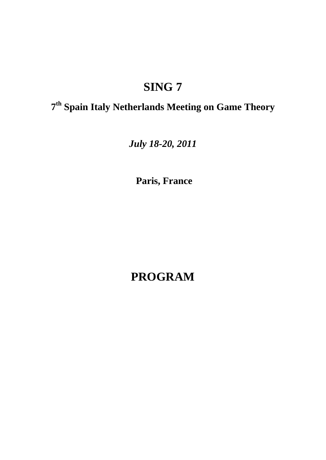# **SING 7**

## **7 th Spain Italy Netherlands Meeting on Game Theory**

*July 18-20, 2011*

**Paris, France**

**PROGRAM**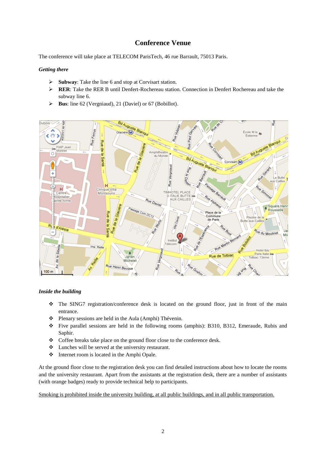### **Conference Venue**

The conference will take place at TELECOM ParisTech, 46 rue Barrault, 75013 Paris.

#### *Getting there*

- **Subway**: Take the line 6 and stop at Corvisart station.
- **RER:** Take the RER B until Denfert-Rochereau station. Connection in Denfert Rochereau and take the subway line 6.
- **Bus**: line 62 (Vergniaud), 21 (Daviel) or 67 (Bobillot).



#### *Inside the building*

- The SING7 registration/conference desk is located on the ground floor, just in front of the main entrance.
- Plenary sessions are held in the Aula (Amphi) Thévenin.
- Five parallel sessions are held in the following rooms (amphis): B310, B312, Emeraude, Rubis and Saphir.
- \* Coffee breaks take place on the ground floor close to the conference desk.
- Lunches will be served at the university restaurant.
- $\triangleleft$  Internet room is located in the Amphi Opale.

At the ground floor close to the registration desk you can find detailed instructions about how to locate the rooms and the university restaurant. Apart from the assistants at the registration desk, there are a number of assistants (with orange badges) ready to provide technical help to participants.

Smoking is prohibited inside the university building, at all public buildings, and in all public transportation.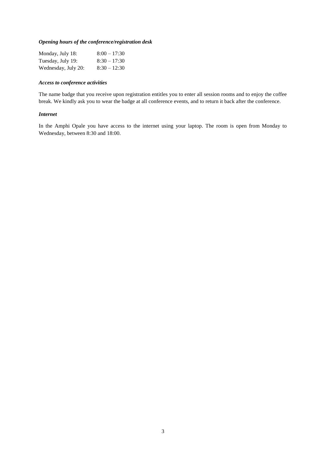#### *Opening hours of the conference/registration desk*

| Monday, July 18:    | $8:00 - 17:30$ |
|---------------------|----------------|
| Tuesday, July 19:   | $8:30 - 17:30$ |
| Wednesday, July 20: | $8:30 - 12:30$ |

#### *Access to conference activities*

The name badge that you receive upon registration entitles you to enter all session rooms and to enjoy the coffee break. We kindly ask you to wear the badge at all conference events, and to return it back after the conference.

#### *Internet*

In the Amphi Opale you have access to the internet using your laptop. The room is open from Monday to Wednesday, between 8:30 and 18:00.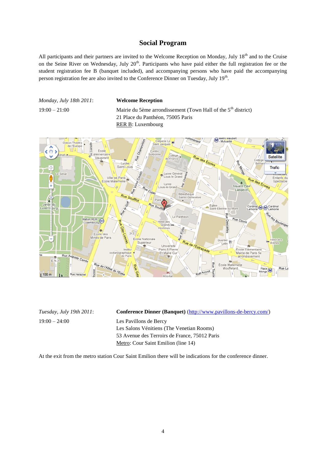#### **Social Program**

All participants and their partners are invited to the Welcome Reception on Monday, July 18<sup>th</sup> and to the Cruise on the Seine River on Wednesday, July 20<sup>th</sup>. Participants who have paid either the full registration fee or the student registration fee B (banquet included), and accompanying persons who have paid the accompanying person registration fee are also invited to the Conference Dinner on Tuesday, July 19<sup>th</sup>.

*Monday, July 18th 2011*: **Welcome Reception**

19:00 – 21:00 Mairie du 5ème arrondissement (Town Hall of the  $5<sup>th</sup>$  district) 21 Place du Panthéon, 75005 Paris RER B: Luxembourg



19:00 – 24:00 Les Pavillons de Bercy

*Tuesday, July 19th 2011*: **Conference Dinner (Banquet)** [\(http://www.pavillons-de-bercy.com/\)](http://www.pavillons-de-bercy.com/) Les Salons Vénitiens (The Venetian Rooms) 53 Avenue des Terroirs de France, 75012 Paris Metro: Cour Saint Emilion (line 14)

At the exit from the metro station Cour Saint Emilion there will be indications for the conference dinner.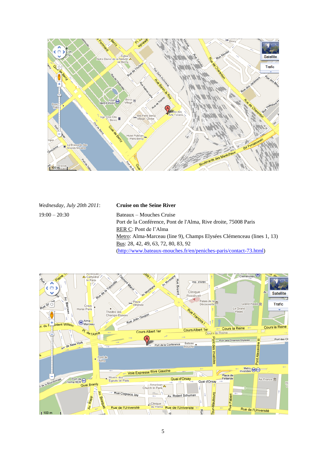

| Wednesday, July 20th 2011: | <b>Cruise on the Seine River</b>                                      |
|----------------------------|-----------------------------------------------------------------------|
| $19:00 - 20:30$            | Bateaux – Mouches Cruise                                              |
|                            | Port de la Conférence, Pont de l'Alma, Rive droite, 75008 Paris       |
|                            | RER C: Pont de l'Alma                                                 |
|                            | Metro: Alma-Marceau (line 9), Champs Elysées Clémenceau (lines 1, 13) |
|                            | Bus: 28, 42, 49, 63, 72, 80, 83, 92                                   |
|                            | (http://www.bateaux-mouches.fr/en/peniches-paris/contact-73.html)     |

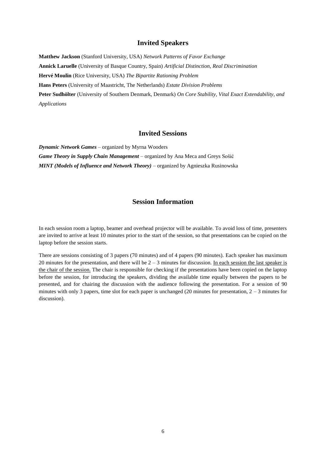#### **Invited Speakers**

**Matthew Jackson** (Stanford University, USA) *Network Patterns of Favor Exchange* **Annick Laruelle** (University of Basque Country, Spain) *Artificial Distinction, Real Discrimination* **Hervé Moulin** (Rice University, USA) *The Bipartite Rationing Problem* **Hans Peters** (University of Maastricht, The Netherlands) *Estate Division Problems* **Peter Sudhölter** (University of Southern Denmark, Denmark) *On Core Stability, Vital Exact Extendability, and Applications*

#### **Invited Sessions**

*Dynamic Network Games* – organized by Myrna Wooders *Game Theory in Supply Chain Management* – organized by Ana Meca and Greys Sošić *MINT (Models of Influence and Network Theory)* – organized by Agnieszka Rusinowska

### **Session Information**

In each session room a laptop, beamer and overhead projector will be available. To avoid loss of time, presenters are invited to arrive at least 10 minutes prior to the start of the session, so that presentations can be copied on the laptop before the session starts.

There are sessions consisting of 3 papers (70 minutes) and of 4 papers (90 minutes). Each speaker has maximum 20 minutes for the presentation, and there will be  $2 - 3$  minutes for discussion. In each session the last speaker is the chair of the session. The chair is responsible for checking if the presentations have been copied on the laptop before the session, for introducing the speakers, dividing the available time equally between the papers to be presented, and for chairing the discussion with the audience following the presentation. For a session of 90 minutes with only 3 papers, time slot for each paper is unchanged (20 minutes for presentation,  $2 - 3$  minutes for discussion).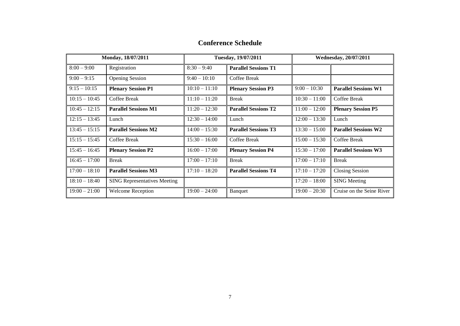| Monday, 18/07/2011<br>Tuesday, 19/07/2011 |                                     | Wednesday, 20/07/2011 |                             |                 |                             |
|-------------------------------------------|-------------------------------------|-----------------------|-----------------------------|-----------------|-----------------------------|
| $8:00 - 9:00$                             | Registration                        | $8:30 - 9:40$         | <b>Parallel Sessions T1</b> |                 |                             |
| $9:00 - 9:15$                             | <b>Opening Session</b>              | $9:40 - 10:10$        | Coffee Break                |                 |                             |
| $9:15 - 10:15$                            | <b>Plenary Session P1</b>           | $10:10 - 11:10$       | <b>Plenary Session P3</b>   | $9:00 - 10:30$  | <b>Parallel Sessions W1</b> |
| $10:15 - 10:45$                           | Coffee Break                        | $11:10 - 11:20$       | <b>Break</b>                | $10:30 - 11:00$ | Coffee Break                |
| $10:45 - 12:15$                           | <b>Parallel Sessions M1</b>         | $11:20 - 12:30$       | <b>Parallel Sessions T2</b> | $11:00 - 12:00$ | <b>Plenary Session P5</b>   |
| $12:15 - 13:45$                           | Lunch                               | $12:30 - 14:00$       | Lunch                       | $12:00 - 13:30$ | Lunch                       |
| $13:45 - 15:15$                           | <b>Parallel Sessions M2</b>         | $14:00 - 15:30$       | <b>Parallel Sessions T3</b> | $13:30 - 15:00$ | <b>Parallel Sessions W2</b> |
| $15:15 - 15:45$                           | Coffee Break                        | $15:30 - 16:00$       | Coffee Break                | $15:00 - 15:30$ | Coffee Break                |
| $15:45 - 16:45$                           | <b>Plenary Session P2</b>           | $16:00 - 17:00$       | <b>Plenary Session P4</b>   | $15:30 - 17:00$ | <b>Parallel Sessions W3</b> |
| $16:45 - 17:00$                           | <b>Break</b>                        | $17:00 - 17:10$       | <b>Break</b>                | $17:00 - 17:10$ | <b>Break</b>                |
| $17:00 - 18:10$                           | <b>Parallel Sessions M3</b>         | $17:10 - 18:20$       | <b>Parallel Sessions T4</b> | $17:10 - 17:20$ | <b>Closing Session</b>      |
| $18:10 - 18:40$                           | <b>SING Representatives Meeting</b> |                       |                             | $17:20 - 18:00$ | <b>SING Meeting</b>         |
| $19:00 - 21:00$                           | <b>Welcome Reception</b>            | $19:00 - 24:00$       | <b>Banquet</b>              | $19:00 - 20:30$ | Cruise on the Seine River   |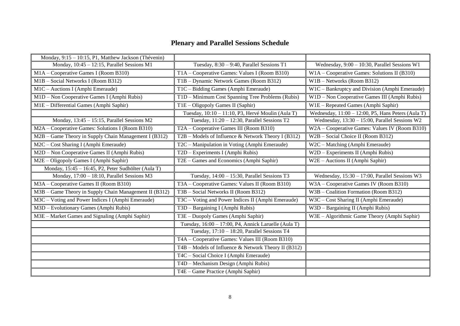## **Plenary and Parallel Sessions Schedule**

| Monday, 9:15 - 10:15, P1, Matthew Jackson (Thévenin)   |                                                      |                                                       |
|--------------------------------------------------------|------------------------------------------------------|-------------------------------------------------------|
| Monday, 10:45 - 12:15, Parallel Sessions M1            | Tuesday, $8:30 - 9:40$ , Parallel Sessions T1        | Wednesday, 9:00 - 10:30, Parallel Sessions W1         |
| M1A - Cooperative Games I (Room B310)                  | T1A - Cooperative Games: Values I (Room B310)        | W1A - Cooperative Games: Solutions II (B310)          |
| M1B - Social Networks I (Room B312)                    | T1B - Dynamic Network Games (Room B312)              | W1B - Networks (Room B312)                            |
| M1C - Auctions I (Amphi Emeraude)                      | T1C - Bidding Games (Amphi Emeraude)                 | $W1C - Bankruptcy$ and Division (Amphi Emeraude)      |
| M1D - Non Cooperative Games I (Amphi Rubis)            | T1D - Minimum Cost Spanning Tree Problems (Rubis)    | W1D - Non Cooperative Games III (Amphi Rubis)         |
| M1E - Differential Games (Amphi Saphir)                | T1E - Oligopoly Games II (Saphir)                    | W1E - Repeated Games (Amphi Saphir)                   |
|                                                        | Tuesday, 10:10 - 11:10, P3, Hervé Moulin (Aula T)    | Wednesday, $11:00 - 12:00$ , P5, Hans Peters (Aula T) |
| Monday, 13:45 - 15:15, Parallel Sessions M2            | Tuesday, 11:20 - 12:30, Parallel Sessions T2         | Wednesday, 13:30 - 15:00, Parallel Sessions W2        |
| M2A - Cooperative Games: Solutions I (Room B310)       | T2A - Cooperative Games III (Room B310)              | W2A - Cooperative Games: Values IV (Room B310)        |
| M2B - Game Theory in Supply Chain Management I (B312)  | T2B – Models of Influence & Network Theory I (B312)  | $\overline{W2B}$ – Social Choice II (Room B312)       |
| M2C - Cost Sharing I (Amphi Emeraude)                  | T2C – Manipulation in Voting (Amphi Emeraude)        | W2C - Matching (Amphi Emeraude)                       |
| M2D - Non Cooperative Games II (Amphi Rubis)           | $T2D - Experiments I (Amphi Rubis)$                  | W2D - Experiments II (Amphi Rubis)                    |
| M2E – Oligopoly Games I (Amphi Saphir)                 | T2E – Games and Economics (Amphi Saphir)             | W2E - Auctions II (Amphi Saphir)                      |
| Monday, 15:45 - 16:45, P2, Peter Sudhölter (Aula T)    |                                                      |                                                       |
| Monday, 17:00 - 18:10, Parallel Sessions M3            | Tuesday, $14:00 - 15:30$ , Parallel Sessions T3      | Wednesday, $15:30 - 17:00$ , Parallel Sessions W3     |
| M3A - Cooperative Games II (Room B310)                 | T3A – Cooperative Games: Values II (Room B310)       | W3A - Cooperative Games IV (Room B310)                |
| M3B - Game Theory in Supply Chain Management II (B312) | T3B - Social Networks II (Room B312)                 | W3B - Coalition Formation (Room B312)                 |
| M3C - Voting and Power Indices I (Amphi Emeraude)      | T3C - Voting and Power Indices II (Amphi Emeraude)   | W3C - Cost Sharing II (Amphi Emeraude)                |
| M3D - Evolutionary Games (Amphi Rubis)                 | T3D - Bargaining I (Amphi Rubis)                     | W3D - Bargaining II (Amphi Rubis)                     |
| M3E - Market Games and Signaling (Amphi Saphir)        | T3E - Duopoly Games (Amphi Saphir)                   | W3E - Algorithmic Game Theory (Amphi Saphir)          |
|                                                        | Tuesday, 16:00 - 17:00, P4, Annick Laruelle (Aula T) |                                                       |
|                                                        | Tuesday, 17:10 - 18:20, Parallel Sessions T4         |                                                       |
|                                                        | T4A – Cooperative Games: Values III (Room B310)      |                                                       |
|                                                        | T4B – Models of Influence & Network Theory II (B312) |                                                       |
|                                                        | T4C - Social Choice I (Amphi Emeraude)               |                                                       |
|                                                        | T4D - Mechanism Design (Amphi Rubis)                 |                                                       |
|                                                        | T4E - Game Practice (Amphi Saphir)                   |                                                       |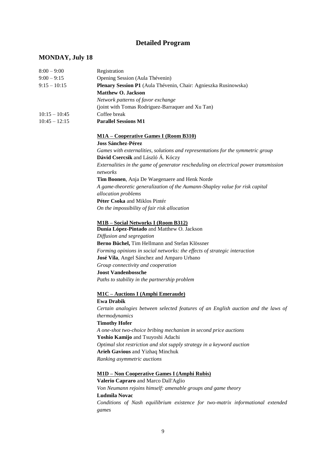## **Detailed Program**

## **MONDAY, July 18**

| $8:00 - 9:00$   | Registration                                                                            |
|-----------------|-----------------------------------------------------------------------------------------|
| $9:00 - 9:15$   | Opening Session (Aula Thévenin)                                                         |
| $9:15 - 10:15$  | Plenary Session P1 (Aula Thévenin, Chair: Agnieszka Rusinowska)                         |
|                 | <b>Matthew O. Jackson</b>                                                               |
|                 | Network patterns of favor exchange                                                      |
|                 | (joint with Tomas Rodriguez-Barraquer and Xu Tan)                                       |
| $10:15 - 10:45$ | Coffee break                                                                            |
| $10:45 - 12:15$ | <b>Parallel Sessions M1</b>                                                             |
|                 | <b>M1A – Cooperative Games I (Room B310)</b>                                            |
|                 | <b>Joss Sánchez-Pérez</b>                                                               |
|                 | Games with externalities, solutions and representations for the symmetric group         |
|                 | Dávid Csercsik and László Á. Kóczy                                                      |
|                 | Externalities in the game of generator rescheduling on electrical power transmission    |
|                 | networks                                                                                |
|                 | Tim Boonen, Anja De Waegenaere and Henk Norde                                           |
|                 | A game-theoretic generalization of the Aumann-Shapley value for risk capital            |
|                 | allocation problems                                                                     |
|                 | Péter Csoka and Miklos Pintér                                                           |
|                 | On the impossibility of fair risk allocation                                            |
|                 | <b>M1B</b> - Social Networks I (Room B312)                                              |
|                 | Dunia López-Pintado and Matthew O. Jackson                                              |
|                 | Diffusion and segregation                                                               |
|                 | Berno Büchel, Tim Hellmann and Stefan Klössner                                          |
|                 | Forming opinions in social networks: the effects of strategic interaction               |
|                 | José Vila, Angel Sánchez and Amparo Urbano                                              |
|                 | Group connectivity and cooperation                                                      |
|                 | <b>Joost Vandenbossche</b>                                                              |
|                 | Paths to stability in the partnership problem                                           |
|                 | <b>M1C - Auctions I (Amphi Emeraude)</b>                                                |
|                 | <b>Ewa Drabik</b>                                                                       |
|                 | Certain analogies between selected features of an English auction and the laws of       |
|                 | thermodynamics                                                                          |
|                 | <b>Timothy Hofer</b>                                                                    |
|                 | A one-shot two-choice bribing mechanism in second price auctions                        |
|                 | Yoshio Kamijo and Tsuyoshi Adachi                                                       |
|                 | Optimal slot restriction and slot supply strategy in a keyword auction                  |
|                 | <b>Arieh Gavious and Yizhaq Minchuk</b>                                                 |
|                 | Ranking asymmetric auctions                                                             |
|                 | <u> M1D – Non Cooperative Games I (Amphi Rubis)</u>                                     |
|                 | Valerio Capraro and Marco Dall'Aglio                                                    |
|                 | Von Neumann rejoins himself: amenable groups and game theory                            |
|                 | <b>Ludmila Novac</b>                                                                    |
|                 | Conditions of Nash equilibrium existence for two-matrix informational extended<br>games |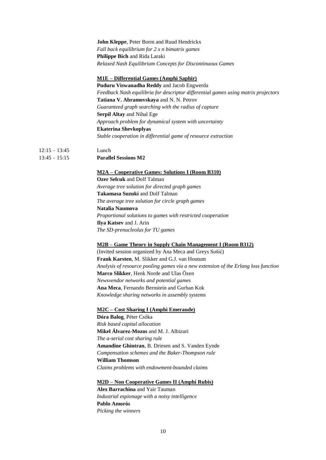#### **John Kleppe**, Peter Borm and Ruud Hendrickx *Fall back equilibrium for 2 x n bimatrix games* **Philippe Bich** and Rida Laraki *Relaxed Nash Equilibrium Concepts for Discontinuous Games*

#### **M1E – Differential Games (Amphi Saphir)**

**Puduru Viswanadha Reddy** and Jacob Engwerda *Feedback Nash equilibria for descriptor differential games using matrix projectors* **Tatiana V. Abramovskaya** and N. N. Petrov *Guaranteed graph searching with the radius of capture* **Serpil Altay** and Nihal Ege *Approach problem for dynamical system with uncertainty* **Ekaterina Shevkoplyas**  *Stable cooperation in differential game of resource extraction* 

12:15 – 13:45 Lunch 13:45 – 15:15 **Parallel Sessions M2**

#### **M2A – Cooperative Games: Solutions I (Room B310)**

**Ozer Selcuk** and Dolf Talman *Average tree solution for directed graph games* **Takamasa Suzuki** and Dolf Talman *The average tree solution for circle graph games* **Natalia Naumova** *Proportional solutions to games with restricted cooperation* **Ilya Katsev** and J. Arin *The SD-prenucleolus for TU games*

#### **M2B – Game Theory in Supply Chain Management I (Room B312)**

(Invited session organized by Ana Meca and Greys Sošić) **Frank Karsten**, M. Slikker and G.J. van Houtum *Analysis of resource pooling games via a new extension of the Erlang loss function* **Marco Slikker**, Henk Norde and Ulas Özen *Newsvendor networks and potential games* **Ana Meca**, Fernando Bernstein and Gurhan Kok *Knowledge sharing networks in assembly systems*

#### **M2C – Cost Sharing I (Amphi Emeraude)**

**Dóra Balog**, Péter Csóka *Risk based capital allocation* **Mikel Álvarez-Mozos** and M. J. Albizuri *The a-serial cost sharing rule* **Amandine Ghintran**, B. Driesen and S. Vanden Eynde *Compensation schemes and the Baker-Thompson rule* **William Thomson** *Claims problems with endowment-bounded claims*

#### **M2D – Non Cooperative Games II (Amphi Rubis)**

**Alex Barrachina** and Yair Tauman *Industrial espionage with a noisy intelligence* **Pablo Amorós**  *Picking the winners*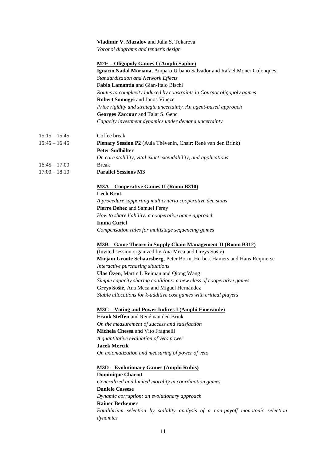|                 | Vladimir V. Mazalov and Julia S. Tokareva                                       |
|-----------------|---------------------------------------------------------------------------------|
|                 | Voronoi diagrams and tender's design                                            |
|                 | <b>M2E – Oligopoly Games I (Amphi Saphir)</b>                                   |
|                 | Ignacio Nadal Moriana, Amparo Urbano Salvador and Rafael Moner Colonques        |
|                 | Standardization and Network Effects                                             |
|                 | Fabio Lamantia and Gian-Italo Bischi                                            |
|                 | Routes to complexity induced by constraints in Cournot oligopoly games          |
|                 | Robert Somogyi and Janos Vincze                                                 |
|                 | Price rigidity and strategic uncertainty. An agent-based approach               |
|                 | Georges Zaccour and Talat S. Genc                                               |
|                 | Capacity investment dynamics under demand uncertainty                           |
| $15:15 - 15:45$ | Coffee break                                                                    |
| $15:45 - 16:45$ | Plenary Session P2 (Aula Thévenin, Chair: René van den Brink)                   |
|                 | Peter Sudhölter                                                                 |
|                 | On core stability, vital exact extendability, and applications                  |
| $16:45 - 17:00$ | <b>Break</b>                                                                    |
| $17:00 - 18:10$ | <b>Parallel Sessions M3</b>                                                     |
|                 | <b>M3A - Cooperative Games II (Room B310)</b>                                   |
|                 | Lech Kruś                                                                       |
|                 | A procedure supporting multicriteria cooperative decisions                      |
|                 | Pierre Dehez and Samuel Ferey                                                   |
|                 | How to share liability: a cooperative game approach                             |
|                 | <b>Imma Curiel</b>                                                              |
|                 | Compensation rules for multistage sequencing games                              |
|                 | M3B - Game Theory in Supply Chain Management II (Room B312)                     |
|                 | (Invited session organized by Ana Meca and Greys Sošić)                         |
|                 | Mirjam Groote Schaarsberg, Peter Borm, Herbert Hamers and Hans Reijnierse       |
|                 | Interactive purchasing situations                                               |
|                 | Ulas Özen, Martin I. Reiman and Qiong Wang                                      |
|                 | Simple capacity sharing coalitions: a new class of cooperative games            |
|                 | Greys Sošić, Ana Meca and Miguel Hernández                                      |
|                 | Stable allocations for k-additive cost games with critical players              |
|                 | <b>M3C</b> – Voting and Power Indices I (Amphi Emeraude)                        |
|                 | Frank Steffen and René van den Brink                                            |
|                 | On the measurement of success and satisfaction                                  |
|                 | Michela Chessa and Vito Fragnelli                                               |
|                 | A quantitative evaluation of veto power                                         |
|                 | <b>Jacek Mercik</b>                                                             |
|                 | On axiomatization and measuring of power of veto                                |
|                 | <b>M3D - Evolutionary Games (Amphi Rubis)</b>                                   |
|                 | <b>Dominique Chariot</b>                                                        |
|                 | Generalized and limited morality in coordination games                          |
|                 | <b>Daniele Cassese</b>                                                          |
|                 | Dynamic corruption: an evolutionary approach                                    |
|                 | <b>Rainer Berkemer</b>                                                          |
|                 | Equilibrium selection by stability analysis of a non-payoff monotonic selection |
|                 | dynamics                                                                        |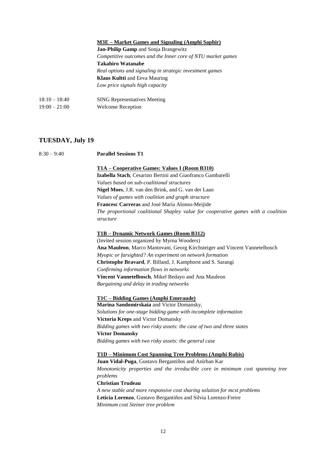|                 | M3E – Market Games and Signaling (Amphi Saphir)             |
|-----------------|-------------------------------------------------------------|
|                 | <b>Jan-Philip Gamp</b> and Sonja Brangewitz                 |
|                 | Competitive outcomes and the Inner core of NTU market games |
|                 | <b>Takahiro Watanabe</b>                                    |
|                 | Real options and signaling in strategic investment games    |
|                 | <b>Klaus Kultti</b> and Eeva Mauring                        |
|                 | Low price signals high capacity                             |
| $18:10 - 18:40$ | <b>SING Representatives Meeting</b>                         |
| $19:00 - 21:00$ | <b>Welcome Reception</b>                                    |

#### **TUESDAY, July 19**

#### 8:30 – 9:40 **Parallel Sessions T1**

**T1A – Cooperative Games: Values I (Room B310)**

**Izabella Stach**, Cesarino Bertini and Gianfranco Gambarelli *Values based on sub-coalitional structures* **Nigel Moes**, J.R. van den Brink, and G. van der Laan *Values of games with coalition and graph structure* **Francesc Carreras** and José María Alonso-Meijide *The proportional coalitional Shapley value for cooperative games with a coalition structure*

#### **T1B – Dynamic Network Games (Room B312)**

(Invited session organized by Myrna Wooders) **Ana Mauleon**, Marco Mantovani, Georg Kirchsteiger and Vincent Vannetelbosch *Myopic or farsighted? An experiment on network formation* **Christophe Bravard**, P. Billand, J. Kamphorst and S. Sarangi *Confirming information flows in networks* **Vincent Vannetelbosch**, Mikel Bedayo and Ana Mauleon *Bargaining and delay in trading networks*

**T1C – Bidding Games (Amphi Emeraude)**

**Marina Sandomirskaia** and Victor Domansky, *Solutions for one-stage bidding game with incomplete information* **Victoria Kreps** and Victor Domansky *Bidding games with two risky assets: the case of two and three states* **Victor Domansky**  *Bidding games with two risky assets: the general case*

#### **T1D – Minimum Cost Spanning Tree Problems (Amphi Rubis)**

**Juan Vidal-Puga**, Gustavo Bergantiños and Anirban Kar *Monotonicity properties and the irreducible core in minimum cost spanning tree problems* **Christian Trudeau** *A new stable and more responsive cost sharing solution for mcst problems* **Leticia Lorenzo**, Gustavo Bergantiños and Silvia Lorenzo-Freire *Minimum cost Steiner tree problem*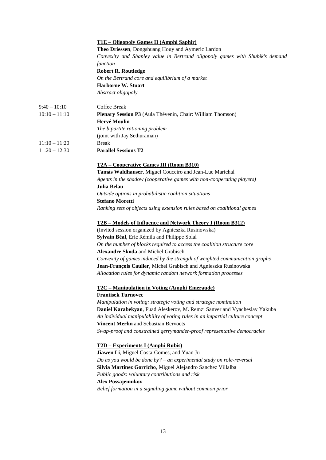|                 | <u>T1E – Oligopoly Games II (Amphi Saphir)</u>                               |  |  |  |
|-----------------|------------------------------------------------------------------------------|--|--|--|
|                 | Theo Driessen, Dongshuang Houy and Aymeric Lardon                            |  |  |  |
|                 | Convexity and Shapley value in Bertrand oligopoly games with Shubik's demand |  |  |  |
|                 | function                                                                     |  |  |  |
|                 | <b>Robert R. Routledge</b>                                                   |  |  |  |
|                 | On the Bertrand core and equilibrium of a market                             |  |  |  |
|                 | <b>Harborne W. Stuart</b>                                                    |  |  |  |
|                 | Abstract oligopoly                                                           |  |  |  |
| $9:40 - 10:10$  | Coffee Break                                                                 |  |  |  |
| $10:10 - 11:10$ | Plenary Session P3 (Aula Thévenin, Chair: William Thomson)                   |  |  |  |
|                 | Hervé Moulin                                                                 |  |  |  |
|                 | The bipartite rationing problem                                              |  |  |  |
|                 | (joint with Jay Sethuraman)                                                  |  |  |  |
| $11:10 - 11:20$ | <b>Break</b>                                                                 |  |  |  |
| $11:20 - 12:30$ | <b>Parallel Sessions T2</b>                                                  |  |  |  |
|                 | T2A – Cooperative Games III (Room B310)                                      |  |  |  |
|                 | Tamás Waldhauser, Miguel Couceiro and Jean-Luc Marichal                      |  |  |  |
|                 | Agents in the shadow (cooperative games with non-cooperating players)        |  |  |  |
|                 | Julia Belau                                                                  |  |  |  |
|                 | Outside options in probabilistic coalition situations                        |  |  |  |
|                 | <b>Stefano Moretti</b>                                                       |  |  |  |
|                 | Ranking sets of objects using extension rules based on coalitional games     |  |  |  |
|                 |                                                                              |  |  |  |
|                 | T2B - Models of Influence and Network Theory I (Room B312)                   |  |  |  |
|                 | (Invited session organized by Agnieszka Rusinowska)                          |  |  |  |
|                 | Sylvain Béal, Eric Rémila and Philippe Solal                                 |  |  |  |
|                 | On the number of blocks required to access the coalition structure core      |  |  |  |
|                 | <b>Alexandre Skoda</b> and Michel Grabisch                                   |  |  |  |
|                 | Convexity of games induced by the strength of weighted communication graphs  |  |  |  |
|                 | Jean-François Caulier, Michel Grabisch and Agnieszka Rusinowska              |  |  |  |
|                 | Allocation rules for dynamic random network formation processes              |  |  |  |
|                 | <u>T2C – Manipulation in Voting (Amphi Emeraude)</u>                         |  |  |  |
|                 | <b>Frantisek Turnovec</b>                                                    |  |  |  |
|                 | Manipulation in voting: strategic voting and strategic nomination            |  |  |  |
|                 | Daniel Karabekyan, Fuad Aleskerov, M. Remzi Sanver and Vyacheslav Yakuba     |  |  |  |
|                 | An individual manipulability of voting rules in an impartial culture concept |  |  |  |
|                 | Vincent Merlin and Sebastian Bervoets                                        |  |  |  |
|                 | Swap-proof and constrained gerrymander-proof representative democracies      |  |  |  |
|                 | T2D – Experiments I (Amphi Rubis)                                            |  |  |  |
|                 | Jiawen Li, Miguel Costa-Gomes, and Yuan Ju                                   |  |  |  |
|                 | Do as you would be done by? $-$ an experimental study on role-reversal       |  |  |  |
|                 | Silvia Martinez Gorricho, Miguel Alejandro Sanchez Villalba                  |  |  |  |
|                 | Public goods: voluntary contributions and risk                               |  |  |  |
|                 | <b>Alex Possajennikov</b>                                                    |  |  |  |
|                 | Belief formation in a signaling game without common prior                    |  |  |  |
|                 |                                                                              |  |  |  |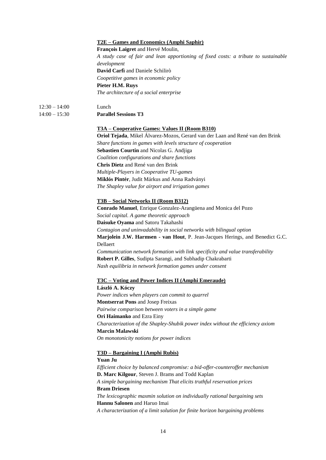#### **T2E – Games and Economics (Amphi Saphir)**

**François Laigret** and Hervé Moulin,

*A study case of fair and lean apportioning of fixed costs: a tribute to sustainable development* **David Carfì** and Daniele Schilirò *Coopetitive games in economic policy* **Pieter H.M. Ruys**  *The architecture of a social enterprise*

- 12:30 14:00 Lunch
- 14:00 15:30 **Parallel Sessions T3**

#### **T3A – Cooperative Games: Values II (Room B310)**

**Oriol Tejada**, Mikel Álvarez-Mozos, Gerard van der Laan and René van den Brink *Share functions in games with levels structure of cooperation* **Sebastien Courtin** and Nicolas G. Andjiga *Coalition configurations and share functions* **Chris Dietz** and René van den Brink *Multiple-Players in Cooperative TU-games* **Miklós Pintér**, Judit Márkus and Anna Radványi *The Shapley value for airport and irrigation games*

#### **T3B – Social Networks II (Room B312)**

**Conrado Manuel**, Enrique Gonzalez-Arangüena and Monica del Pozo *Social capital. A game theoretic approach* **Daisuke Oyama** and Satoru Takahashi *Contagion and uninvadability in social networks with bilingual option* **Marjolein J.W. Harmsen - van Hout**, P. Jean-Jacques Herings, and Benedict G.C. Dellaert *Communication network formation with link specificity and value transferability* **Robert P. Gilles**, Sudipta Sarangi, and Subhadip Chakrabarti *Nash equilibria in network formation games under consent*

#### **T3C – Voting and Power Indices II (Amphi Emeraude)**

**László A. Kóczy** *Power indices when players can commit to quarrel* **Montserrat Pons** and Josep Freixas *Pairwise comparison between voters in a simple game* **Ori Haimanko** and Ezra Einy *Characterization of the Shapley-Shubik power index without the efficiency axiom* **Marcin Malawski**  *On monotonicity notions for power indices*

#### **T3D – Bargaining I (Amphi Rubis)**

**Yuan Ju**  *Efficient choice by balanced compromise: a bid-offer-counteroffer mechanism* **D. Marc Kilgour**, Steven J. Brams and Todd Kaplan *A simple bargaining mechanism That elicits truthful reservation prices* **Bram Driesen**  *The lexicographic maxmin solution on individually rational bargaining sets* **Hannu Salonen** and Haruo Imai *A characterization of a limit solution for finite horizon bargaining problems*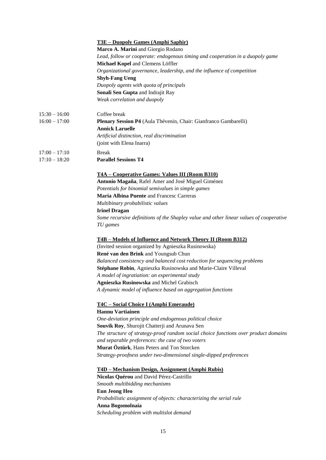|                 | <u>T3E – Duopoly Games (Amphi Saphir)</u>                                              |
|-----------------|----------------------------------------------------------------------------------------|
|                 | Marco A. Marini and Giorgio Rodano                                                     |
|                 | Lead, follow or cooperate: endogenous timing and cooperation in a duopoly game         |
|                 | Michael Kopel and Clemens Löffler                                                      |
|                 | Organizational governance, leadership, and the influence of competition                |
|                 | <b>Shyh-Fang Ueng</b>                                                                  |
|                 | Duopoly agents with quota of principals                                                |
|                 | Sonali Sen Gupta and Indrajit Ray                                                      |
|                 |                                                                                        |
|                 | Weak correlation and duopoly                                                           |
| $15:30 - 16:00$ | Coffee break                                                                           |
| $16:00 - 17:00$ | Plenary Session P4 (Aula Thévenin, Chair: Gianfranco Gambarelli)                       |
|                 | <b>Annick Laruelle</b>                                                                 |
|                 | Artificial distinction, real discrimination                                            |
|                 | (joint with Elena Inarra)                                                              |
|                 |                                                                                        |
| $17:00 - 17:10$ | <b>Break</b>                                                                           |
| $17:10 - 18:20$ | <b>Parallel Sessions T4</b>                                                            |
|                 | T4A – Cooperative Games: Values III (Room B310)                                        |
|                 | Antonio Magaña, Rafel Amer and José Miguel Giménez                                     |
|                 | Potentials for binomial semivalues in simple games                                     |
|                 | <b>Maria Albina Puente and Francesc Carreras</b>                                       |
|                 | Multibinary probabilistic values                                                       |
|                 | <b>Irinel Dragan</b>                                                                   |
|                 | Some recursive definitions of the Shapley value and other linear values of cooperative |
|                 | TU games                                                                               |
|                 | T4B - Models of Influence and Network Theory II (Room B312)                            |
|                 | (Invited session organized by Agnieszka Rusinowska)                                    |
|                 | René van den Brink and Youngsub Chun                                                   |
|                 | Balanced consistency and balanced cost reduction for sequencing problems               |
|                 | Stéphane Robin, Agnieszka Rusinowska and Marie-Claire Villeval                         |
|                 | A model of ingratiation: an experimental study                                         |
|                 |                                                                                        |
|                 | Agnieszka Rusinowska and Michel Grabisch                                               |
|                 | A dynamic model of influence based on aggregation functions                            |
|                 | T4C - Social Choice I (Amphi Emeraude)                                                 |
|                 | <b>Hannu Vartiainen</b>                                                                |
|                 | One-deviation principle and endogenous political choice                                |
|                 | Souvik Roy, Shurojit Chatterji and Arunava Sen                                         |
|                 | The structure of strategy-proof random social choice functions over product domains    |
|                 | and separable preferences: the case of two voters                                      |
|                 | Murat Öztürk, Hans Peters and Ton Storcken                                             |
|                 | Strategy-proofness under two-dimensional single-dipped preferences                     |
|                 |                                                                                        |
|                 | <u>T4D – Mechanism Design, Assignment (Amphi Rubis)</u>                                |
|                 | Nicolas Quérou and David Pérez-Castrillo                                               |
|                 | Smooth multibidding mechanisms                                                         |
|                 | <b>Eun Jeong Heo</b>                                                                   |
|                 | Probabilistic assignment of objects: characterizing the serial rule                    |
|                 | Anna Bogomolnaia                                                                       |
|                 | Scheduling problem with multislot demand                                               |
|                 |                                                                                        |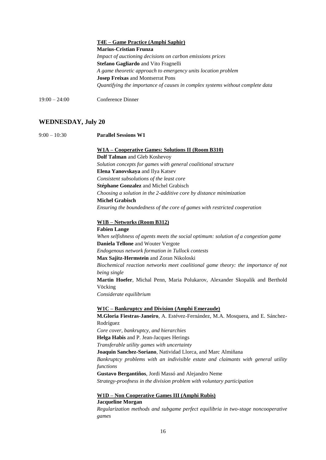|                 | T4E – Game Practice (Amphi Saphir)                                            |
|-----------------|-------------------------------------------------------------------------------|
|                 | <b>Marius-Cristian Frunza</b>                                                 |
|                 | Impact of auctioning decisions on carbon emissions prices                     |
|                 | <b>Stefano Gagliardo</b> and Vito Fragnelli                                   |
|                 | A game theoretic approach to emergency units location problem                 |
|                 | <b>Josep Freixas and Montserrat Pons</b>                                      |
|                 | Quantifying the importance of causes in complex systems without complete data |
| $19:00 - 24:00$ | Conference Dinner                                                             |

### **WEDNESDAY, July 20**

| $9:00 - 10:30$ | <b>Parallel Sessions W1</b>                                                        |  |  |  |
|----------------|------------------------------------------------------------------------------------|--|--|--|
|                | <u>W1A – Cooperative Games: Solutions II (Room B310)</u>                           |  |  |  |
|                | Dolf Talman and Gleb Koshevoy                                                      |  |  |  |
|                | Solution concepts for games with general coalitional structure                     |  |  |  |
|                | Elena Yanovskaya and Ilya Katsev                                                   |  |  |  |
|                | Consistent subsolutions of the least core                                          |  |  |  |
|                | Stéphane Gonzalez and Michel Grabisch                                              |  |  |  |
|                | Choosing a solution in the 2-additive core by distance minimization                |  |  |  |
|                | <b>Michel Grabisch</b>                                                             |  |  |  |
|                | Ensuring the boundedness of the core of games with restricted cooperation          |  |  |  |
|                | W1B - Networks (Room B312)                                                         |  |  |  |
|                | <b>Fabien Lange</b>                                                                |  |  |  |
|                | When selfishness of agents meets the social optimum: solution of a congestion game |  |  |  |
|                | Daniela Tellone and Wouter Vergote                                                 |  |  |  |
|                | Endogenous network formation in Tullock contests                                   |  |  |  |
|                | Max Sajitz-Hermstein and Zoran Nikoloski                                           |  |  |  |
|                | Biochemical reaction networks meet coalitional game theory: the importance of not  |  |  |  |
|                | being single                                                                       |  |  |  |
|                | Martin Hoefer, Michal Penn, Maria Polukarov, Alexander Skopalik and Berthold       |  |  |  |
|                | Vöcking                                                                            |  |  |  |
|                | Considerate equilibrium                                                            |  |  |  |
|                | <u><b>W1C</b></u> - Bankruptcy and Division (Amphi Emeraude)                       |  |  |  |
|                | M.Gloria Fiestras-Janeiro, A. Estévez-Fernández, M.A. Mosquera, and E. Sánchez-    |  |  |  |
|                | Rodríguez                                                                          |  |  |  |
|                | Core cover, bankruptcy, and hierarchies                                            |  |  |  |
|                | Helga Habis and P. Jean-Jacques Herings                                            |  |  |  |
|                | Transferable utility games with uncertainty                                        |  |  |  |
|                | Joaquin Sanchez-Soriano, Natividad Llorca, and Marc Almiñana                       |  |  |  |
|                | Bankruptcy problems with an indivisible estate and claimants with general utility  |  |  |  |
|                | functions                                                                          |  |  |  |
|                | Gustavo Bergantiños, Jordi Massó and Alejandro Neme                                |  |  |  |
|                | Strategy-proofness in the division problem with voluntary participation            |  |  |  |
|                | <u> W1D – Non Cooperative Games III (Amphi Rubis)</u>                              |  |  |  |
|                | <b>Jacqueline Morgan</b>                                                           |  |  |  |
|                | Requirection methods and subgame perfect equilibria in two stage nonconnective     |  |  |  |

*Regularization methods and subgame perfect equilibria in two-stage noncooperative games*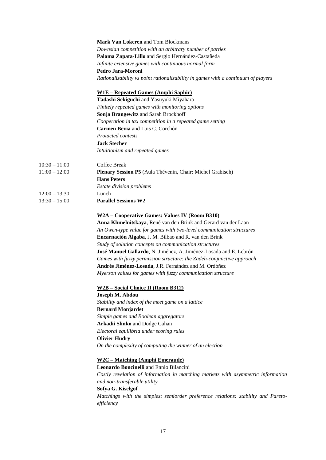|                 | <b>Mark Van Lokeren</b> and Tom Blockmans                                         |
|-----------------|-----------------------------------------------------------------------------------|
|                 | Downsian competition with an arbitrary number of parties                          |
|                 | Paloma Zapata-Lillo and Sergio Hernández-Castañeda                                |
|                 | Infinite extensive games with continuous normal form                              |
|                 | Pedro Jara-Moroni                                                                 |
|                 | Rationalizability vs point rationalizability in games with a continuum of players |
|                 | <u>W1E – Repeated Games (Amphi Saphir)</u>                                        |
|                 | Tadashi Sekiguchi and Yasuyuki Miyahara                                           |
|                 | Finitely repeated games with monitoring options                                   |
|                 | Sonja Brangewitz and Sarah Brockhoff                                              |
|                 | Cooperation in tax competition in a repeated game setting                         |
|                 | Carmen Bevia and Luis C. Corchón                                                  |
|                 | <b>Protacted contests</b>                                                         |
|                 | <b>Jack Stecher</b>                                                               |
|                 | Intuitionism and repeated games                                                   |
| $10:30 - 11:00$ | Coffee Break                                                                      |
| $11:00 - 12:00$ | Plenary Session P5 (Aula Thévenin, Chair: Michel Grabisch)                        |
|                 | <b>Hans Peters</b>                                                                |
|                 |                                                                                   |
|                 | <b>Estate division problems</b>                                                   |
| $12:00 - 13:30$ | Lunch                                                                             |
| $13:30 - 15:00$ | <b>Parallel Sessions W2</b>                                                       |
|                 | <u>W2A – Cooperative Games: Values IV (Room B310)</u>                             |
|                 | Anna Khmelnitskaya, René van den Brink and Gerard van der Laan                    |
|                 | An Owen-type value for games with two-level communication structures              |
|                 | Encarnación Algaba, J. M. Bilbao and R. van den Brink                             |
|                 | Study of solution concepts on communication structures                            |
|                 | José Manuel Gallardo, N. Jiménez, A. Jiménez-Losada and E. Lebrón                 |
|                 | Games with fuzzy permission structure: the Zadeh-conjunctive approach             |
|                 | Andrés Jiménez-Losada, J.R. Fernández and M. Ordóñez                              |
|                 | Myerson values for games with fuzzy communication structure                       |
|                 | W2B - Social Choice II (Room B312)                                                |
|                 | Joseph M. Abdou                                                                   |
|                 | Stability and index of the meet game on a lattice                                 |
|                 | <b>Bernard Monjardet</b>                                                          |
|                 | Simple games and Boolean aggregators                                              |
|                 | Arkadii Slinko and Dodge Cahan                                                    |
|                 | Electoral equilibria under scoring rules                                          |
|                 | <b>Olivier Hudry</b>                                                              |
|                 | On the complexity of computing the winner of an election                          |
|                 | <u>W2C – Matching (Amphi Emeraude)</u>                                            |
|                 | Leonardo Boncinelli and Ennio Bilancini                                           |
|                 | Costly revelation of information in matching markets with asymmetric information  |
|                 | and non-transferable utility                                                      |
|                 | Sofya G. Kiselgof                                                                 |
|                 | Matchings with the simplest semiorder preference relations: stability and Pareto- |
|                 | efficiency                                                                        |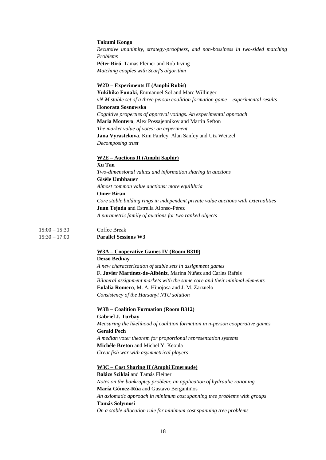|                 | <b>Takumi Kongo</b>                                                                                     |
|-----------------|---------------------------------------------------------------------------------------------------------|
|                 | Recursive unanimity, strategy-proofness, and non-bossiness in two-sided matching                        |
|                 | Problems                                                                                                |
|                 | Péter Biró, Tamas Fleiner and Rob Irving                                                                |
|                 | Matching couples with Scarf's algorithm                                                                 |
|                 |                                                                                                         |
|                 | <u>W2D – Experiments II (Amphi Rubis)</u><br>Yukihiko Funaki, Emmanuel Sol and Marc Willinger           |
|                 |                                                                                                         |
|                 | vN-M stable set of a three person coalition formation game - experimental results<br>Honorata Sosnowska |
|                 | Cognitive properties of approval votings. An experimental approach                                      |
|                 | Maria Montero, Alex Possajennikov and Martin Sefton                                                     |
|                 | The market value of votes: an experiment                                                                |
|                 | Jana Vyrastekova, Kim Fairley, Alan Sanfey and Utz Weitzel                                              |
|                 | Decomposing trust                                                                                       |
|                 | <u>W2E – Auctions II (Amphi Saphir)</u>                                                                 |
|                 | Xu Tan                                                                                                  |
|                 | Two-dimensional values and information sharing in auctions                                              |
|                 | <b>Gisèle Umbhauer</b>                                                                                  |
|                 | Almost common value auctions: more equilibria                                                           |
|                 | <b>Omer Biran</b>                                                                                       |
|                 | Core stable bidding rings in independent private value auctions with externalities                      |
|                 | Juan Tejada and Estrella Alonso-Pérez                                                                   |
|                 | A parametric family of auctions for two ranked objects                                                  |
| $15:00 - 15:30$ | Coffee Break                                                                                            |
| $15:30 - 17:00$ | <b>Parallel Sessions W3</b>                                                                             |
|                 | W3A – Cooperative Games IV (Room B310)                                                                  |
|                 | Dezsö Bednay                                                                                            |
|                 | A new characterization of stable sets in assignment games                                               |
|                 | F. Javier Martínez-de-Albéniz, Marina Núñez and Carles Rafels                                           |
|                 | Bilateral assignment markets with the same core and their minimal elements                              |
|                 | Eulalia Romero, M. A. Hinojosa and J. M. Zarzuelo                                                       |
|                 | Consistency of the Harsanyi NTU solution                                                                |
|                 | <b>W3B - Coalition Formation (Room B312)</b>                                                            |
|                 | Gabriel J. Turbay                                                                                       |
|                 | Measuring the likelihood of coalition formation in n-person cooperative games                           |
|                 | <b>Gerald Pech</b>                                                                                      |
|                 | A median voter theorem for proportional representation systems                                          |
|                 | Michèle Breton and Michel Y. Keoula                                                                     |
|                 | Great fish war with asymmetrical players                                                                |
|                 | <u>W3C – Cost Sharing II (Amphi Emeraude)</u>                                                           |
|                 | Balázs Sziklai and Tamás Fleiner                                                                        |
|                 | Notes on the bankruptcy problem: an application of hydraulic rationing                                  |
|                 | María Gómez-Rúa and Gustavo Bergantiños                                                                 |
|                 | An axiomatic approach in minimum cost spanning tree problems with groups                                |
|                 | <b>Tamás Solymosi</b>                                                                                   |

*On a stable allocation rule for minimum cost spanning tree problems*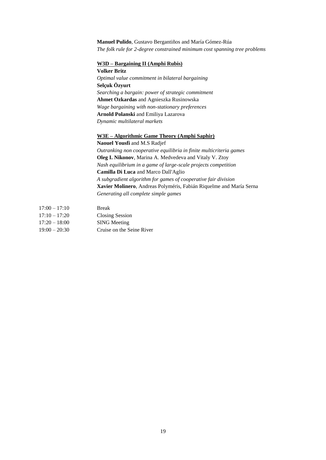#### **Manuel Pulido**, Gustavo Bergantiños and María Gómez-Rúa *The folk rule for 2-degree constrained minimum cost spanning tree problems*

#### **W3D – Bargaining II (Amphi Rubis)**

**Volker Britz** *Optimal value commitment in bilateral bargaining* **Selçuk Özyurt** *Searching a bargain: power of strategic commitment* **Ahmet Ozkardas** and Agnieszka Rusinowska *Wage bargaining with non-stationary preferences* **Arnold Polanski** and Emiliya Lazarova *Dynamic multilateral markets*

#### **W3E – Algorithmic Game Theory (Amphi Saphir)**

**Naouel Yousfi** and M.S Radjef *Outranking non cooperative equilibria in finite multicriteria games* **Oleg I. Nikonov**, Marina A. Medvedeva and Vitaly V. Ztoy *Nash equilibrium in a game of large-scale projects competition* **Camilla Di Luca** and Marco Dall'Aglio *A subgradient algorithm for games of cooperative fair division* **Xavier Molinero**, Andreas Polyméris, Fabián Riquelme and María Serna *Generating all complete simple games*

| $17:00 - 17:10$ | <b>Break</b>              |
|-----------------|---------------------------|
| $17:10 - 17:20$ | <b>Closing Session</b>    |
| $17:20 - 18:00$ | <b>SING</b> Meeting       |
| $19:00 - 20:30$ | Cruise on the Seine River |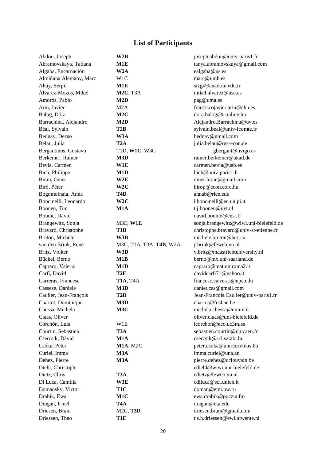## **List of Participants**

| Abdou, Joseph          | W2B                     | joseph.abdou@univ-paris1.fr            |
|------------------------|-------------------------|----------------------------------------|
| Abramovskaya, Tatiana  | M1E                     | tanya.abramovskaya@gmail.com           |
| Algaba, Encarnación    | W <sub>2</sub> A        | ealgaba@us.es                          |
| Almiñana Alemany, Marc | W <sub>1</sub> C        | marc@umh.es                            |
| Altay, Serpil          | M1E                     | sizgi@anadolu.edu.tr                   |
| Álvarez-Mozos, Mikel   | <b>M2C, T3A</b>         | mikel.alvarez@usc.es                   |
| Amorós, Pablo          | M2D                     | pag@uma.es                             |
| Arin, Javier           | M2A                     | franciscojavier.arin@ehu.es            |
| Balog, Dóra            | M2C                     | dora.balog@t-online.hu                 |
| Barrachina, Alejandro  | M2D                     | Alejandro.Barrachina@uv.es             |
| Béal, Sylvain          | T2B                     | sylvain.beal@univ-fcomte.fr            |
| Bednay, Dezsö          | W3A                     | bednay@gmail.com                       |
| Belau, Julia           | T <sub>2</sub> A        | julia.belau@rgs-econ.de                |
| Bergantiños, Gustavo   | T1D, W1C, W3C           | gbergant@uvigo.es                      |
| Berkemer, Rainer       | M3D                     | rainer.berkemer@akad.de                |
| Bevia, Carmen          | W1E                     | carmen.bevia@uab.es                    |
| Bich, Philippe         | M1D                     | bich@univ-paris1.fr                    |
| Biran, Omer            | W2E                     | omer.biran@gmail.com                   |
| Biró, Péter            | W2C                     | birop@econ.core.hu                     |
| Bogomolnaia, Anna      | T4D                     | annab@rice.edu                         |
| Boncinelli, Leonardo   | W <sub>2</sub> C        | l.boncinelli@ec.unipi.it               |
| Boonen, Tim            | M1A                     | t.j.boonen@uvt.nl                      |
| Bounie, David          |                         | david.bounie@enst.fr                   |
| Brangewitz, Sonja      | M3E, W1E                | sonja.brangewitz@wiwi.uni-bielefeld.de |
| Bravard, Christophe    | T1B                     | christophe.bravard@univ-st-etienne.fr  |
| Breton, Michèle        | W3B                     | michele.breton@hec.ca                  |
| van den Brink, René    | M3C, T1A, T3A, T4B, W2A | jrbrink@feweb.vu.nl                    |
| Britz, Volker          | W3D                     | v.britz@maastrichtuniversity.nl        |
| Büchel, Berno          | M1B                     | berno@mx.uni-saarland.de               |
| Capraro, Valerio       | M1D                     | capraro@mat.uniroma2.it                |
| Carfi, David           | T <sub>2</sub> E        | davidcarfi71@yahoo.it                  |
| Carreras, Francesc     | <b>T1A, T4A</b>         | francesc.carreras@upc.edu              |
| Cassese, Daniele       | M3D                     | daniet.cas@gmail.com                   |
| Caulier, Jean-François | T <sub>2</sub> B        | Jean-Francois.Caulier@univ-paris1.fr   |
| Chariot, Dominique     | M3D                     | chariot@fusl.ac.be                     |
| Chessa, Michela        | M3C                     | michela.chessa@unimi.it                |
| Claas, Oliver          |                         | oliver.claas@uni-bielefeld.de          |
| Corchón, Luis          | W1E                     | lcorchon@eco.uc3m.es                   |
| Courtin, Sébastien     | T3A                     | sebastien.courtin@unicaen.fr           |
| Csercsik, Dávid        | M1A                     | csercsik@scl.sztaki.hu                 |
| Csóka, Péter           | M1A, M2C                | peter.csoka@uni-corvinus.hu            |
| Curiel, Imma           | M3A                     | imma.curiel@una.an                     |
| Dehez, Pierre          | M3A                     | pierre.dehez@uclouvain.be              |
| Diehl, Christoph       |                         | cdiehl@wiwi.uni-bielefeld.de           |
| Dietz, Chris           | T3A                     | cdietz@feweb.vu.nl                     |
| Di Luca, Camilla       | W3E                     | cdiluca@sci.unich.it                   |
| Domansky, Victor       | T <sub>1</sub> C        | doman@emi.nw.ru                        |
| Drabik, Ewa            | M1C                     | ewa.drabik@poczta.fm                   |
| Dragan, Irinel         | T <sub>4</sub> A        | dragan@uta.edu                         |
| Driesen, Bram          | M2C, T3D                | driesen.bram@gmail.com                 |
| Driessen, Theo         | T1E                     | t.s.h.driessen@ewi.utwente.nl          |
|                        |                         |                                        |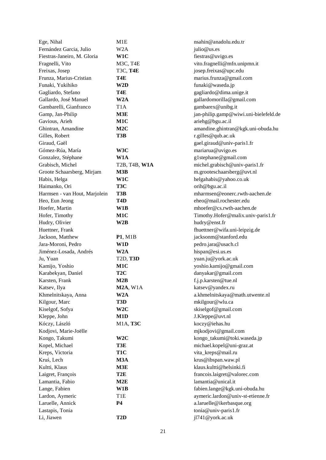| Ege, Nihal                    | M1E              | nsahin@anadolu.edu.tr                 |
|-------------------------------|------------------|---------------------------------------|
| Fernández Garcia, Julio       | W <sub>2</sub> A | julio@us.es                           |
| Fiestras-Janeiro, M. Gloria   | W1C              | fiestras@uvigo.es                     |
| Fragnelli, Vito               | M3C, T4E         | vito.fragnelli@mfn.unipmn.it          |
| Freixas, Josep                | <b>T3C, T4E</b>  | josep.freixas@upc.edu                 |
| Frunza, Marius-Cristian       | T4E              | marius.frunza@gmail.com               |
| Funaki, Yukihiko              | W2D              | funaki@waseda.jp                      |
| Gagliardo, Stefano            | T4E              | gagliardo@dima.unige.it               |
| Gallardo, José Manuel         | W2A              | gallardomorilla@gmail.com             |
| Gambarelli, Gianfranco        | T <sub>1</sub> A | gambarex@unibg.it                     |
| Gamp, Jan-Philip              | M3E              | jan-philip.gamp@wiwi.uni-bielefeld.de |
| Gavious, Arieh                | M1C              | ariehg@bgu.ac.il                      |
| Ghintran, Amandine            | M2C              | amandine.ghintran@kgk.uni-obuda.hu    |
| Gilles, Robert                | T3B              | r.gilles@qub.ac.uk                    |
| Giraud, Gaël                  |                  | gael.giraud@univ-paris1.fr            |
| Gómez-Rúa, María              | W3C              | mariarua@uvigo.es                     |
| Gonzalez, Stéphane            | W1A              | g1stephane@gmail.com                  |
| Grabisch, Michel              | T2B, T4B, W1A    | michel.grabisch@univ-paris1.fr        |
| Groote Schaarsberg, Mirjam    | M3B              | m.grooteschaarsberg@uvt.nl            |
| Habis, Helga                  | W1C              | helgahabis@yahoo.co.uk                |
| Haimanko, Ori                 | T3C              | orih@bgu.ac.il                        |
| Harmsen - van Hout, Marjolein | T3B              | mharmsen@eonerc.rwth-aachen.de        |
| Heo, Eun Jeong                | T <sub>4</sub> D | eheo@mail.rochester.edu               |
| Hoefer, Martin                | W1B              | mhoefer@cs.rwth-aachen.de             |
| Hofer, Timothy                | M1C              | Timothy.Hofer@malix.univ-paris1.fr    |
| Hudry, Olivier                | W2B              | hudry@enst.fr                         |
| Huettner, Frank               |                  | fhuettner@wifa.uni-leipzig.de         |
| Jackson, Matthew              | P1, M1B          | jacksonm@stanford.edu                 |
| Jara-Moroni, Pedro            | W1D              | pedro.jara@usach.cl                   |
| Jiménez-Losada, Andrés        | W2A              | hispan@esi.us.es                      |
| Ju, Yuan                      | T2D, T3D         | yuan.ju@york.ac.uk                    |
| Kamijo, Yoshio                | M1C              | yoshio.kamijo@gmail.com               |
| Karabekyan, Daniel            | T <sub>2</sub> C | danyakar@gmail.com                    |
| Karsten, Frank                | M2B              | f.j.p.karsten@tue.nl                  |
| Katsev, Ilya                  | $M2A$ , W1A      | katsev@yandex.ru                      |
| Khmelnitskaya, Anna           | W <sub>2</sub> A | a.khmelnitskaya@math.utwente.nl       |
| Kilgour, Marc                 | T3D              | mkilgour@wlu.ca                       |
| Kiselgof, Sofya               | W <sub>2</sub> C | skiselgof@gmail.com                   |
| Kleppe, John                  | M1D              | J.Kleppe@uvt.nl                       |
| Kóczy, László                 | M1A, T3C         | koczy@iehas.hu                        |
| Kodjovi, Marie-Joëlle         |                  | mjkodjovi@gmail.com                   |
| Kongo, Takumi                 | W <sub>2</sub> C | kongo_takumi@toki.waseda.jp           |
| Kopel, Michael                | T3E              | michael.kopel@uni-graz.at             |
| Kreps, Victoria               | T <sub>1</sub> C | vita_kreps@mail.ru                    |
| Kruś, Lech                    | M3A              | krus@ibspan.waw.pl                    |
| Kultti, Klaus                 | M3E              | klaus.kultti@helsinki.fi              |
| Laigret, François             | T <sub>2</sub> E | francois.laigret@valorec.com          |
| Lamantia, Fabio               | M2E              | lamantia@unical.it                    |
| Lange, Fabien                 | W1B              | fabien.lange@kgk.uni-obuda.hu         |
| Lardon, Aymeric               | T <sub>1</sub> E | aymeric.lardon@univ-st-etienne.fr     |
| Laruelle, Annick              | <b>P4</b>        | a.laruelle@ikerbasque.org             |
| Lastapis, Tonia               |                  | tonia@univ-paris1.fr                  |
|                               |                  |                                       |
| Li, Jiawen                    | T <sub>2</sub> D | j1741@york.ac.uk                      |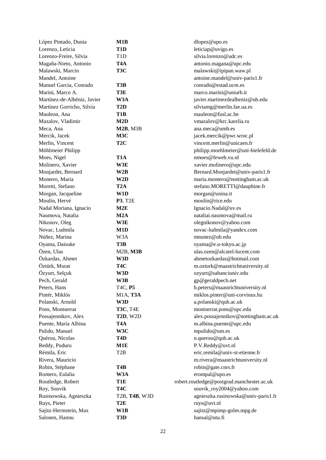| López Pintado, Dunia        | M1B                                                        | dlopez@upo.es                              |
|-----------------------------|------------------------------------------------------------|--------------------------------------------|
| Lorenzo, Leticia            | T <sub>1</sub> D                                           | leticiap@uvigo.es                          |
| Lorenzo-Freire, Silvia      | T <sub>1</sub> D                                           | silvia.lorenzo@udc.es                      |
| Magaña-Nieto, Antonio       | T <sub>4</sub> A                                           | antonio.magana@upc.edu                     |
| Malawski, Marcin            | T3C                                                        | malawski@ipipan.waw.pl                     |
| Mandel, Antoine             |                                                            | antoine.mandel@univ-paris1.fr              |
| Manuel Garcia, Conrado      | T3B                                                        | conrado@estad.ucm.es                       |
| Marini, Marco A.            | T3E                                                        | marco.marini@uniurb.it                     |
| Martínez-de-Albéniz, Javier | W <sub>3</sub> A                                           | javier.martinezdealbeniz@ub.edu            |
| Martínez Gorricho, Silvia   | T <sub>2</sub> D                                           | silviamg@merlin.fae.ua.es                  |
| Mauleon, Ana                | T <sub>1</sub> B                                           | mauleon@fusl.ac.be                         |
| Mazalov, Vladimir           | M2D                                                        | vmazalov@krc.karelia.ru                    |
| Meca, Ana                   | $M2B$ , $M3B$                                              | ana.meca@umh.es                            |
| Mercik, Jacek               | M3C                                                        | jacek.mercik@pwr.wroc.pl                   |
| Merlin, Vincent             | T <sub>2</sub> C                                           | vincent.merlin@unicaen.fr                  |
| Möhlmeier Philipp           |                                                            | philipp.moehlmeier@uni-bielefeld.de        |
| Moes, Nigel                 | T <sub>1</sub> A                                           | $\text{mmoes} @ \text{few}$ eh.vu.nl       |
| Molinero, Xavier            | W3E                                                        | xavier.molinero@upc.edu                    |
| Monjardet, Bernard          | W2B                                                        | Bernard.Monjardet@univ-paris1.fr           |
| Montero, Maria              | W2D                                                        | maria.montero@nottingham.ac.uk             |
| Moretti, Stefano            | T2A                                                        | stefano.MORETTI@dauphine.fr                |
| Morgan, Jacqueline          | W1D                                                        | morgan@unina.it                            |
| Moulin, Hervé               | <b>P3, T2E</b>                                             | moulin@rice.edu                            |
| Nadal Moriana, Ignacio      | M2E                                                        | Ignacio.Nadal@uv.es                        |
| Naumova, Natalia            | M2A                                                        | nataliai.naumova@mail.ru                   |
| Nikonov, Oleg               | W3E                                                        | olegnikonov@yahoo.com                      |
| Novac, Ludmila              | M <sub>1</sub> D                                           | novac-ludmila@yandex.com                   |
| Núñez, Marina               | W <sub>3</sub> A                                           | mnunez@ub.edu                              |
| Oyama, Daisuke              | T3B                                                        | oyama@e.u-tokyo.ac.jp                      |
| Özen, Ulas                  | $M2B$ , $M3B$                                              | ulas.ozen@alcatel-lucent.com               |
| Özkardas, Ahmet             | W3D                                                        | ahmetozkardas@hotmail.com                  |
| Öztürk, Murat               | T4C                                                        | m.ozturk@maastrichtuniversity.nl           |
| Özyurt, Selçuk              | W3D                                                        | ozyurt@sabanciuniv.edu                     |
| Pech, Gerald                | W3B                                                        | gp@geraldpech.net                          |
| Peters, Hans                | T <sub>4</sub> C, P <sub>5</sub>                           | h.peters@maastrichtuniversity.nl           |
| Pintér, Miklós              | M1A, T3A                                                   | miklos.pinter@uni-corvinus.hu              |
| Polanski, Arnold            | W3D                                                        | a.polanski@qub.ac.uk                       |
| Pons, Montserrat            | <b>T3C, T4E</b>                                            | montserrat.pons@upc.edu                    |
| Possajennikov, Alex         | <b>T2D, W2D</b>                                            | alex.possajennikov@nottingham.ac.uk        |
| Puente, María Albina        | T <sub>4</sub> A                                           | m.albina.puente@upc.edu                    |
| Pulido, Manuel              | W3C                                                        | mpulido@um.es                              |
| Quérou, Nicolas             | T4D                                                        | n.querou@qub.ac.uk                         |
| Reddy, Puduru               | M1E                                                        | P.V.Reddy@uvt.nl                           |
| Rémila, Eric                | T <sub>2</sub> B                                           | eric.remila@univ-st-etienne.fr             |
| Rivera, Mauricio            |                                                            | m.rivera@maastrichtuniversity.nl           |
| Robin, Stéphane             | T4B                                                        | robin@gate.cnrs.fr                         |
| Romero, Eulalia             | W3A                                                        | erompal@upo.es                             |
| Routledge, Robert           | T1E                                                        | robert.routledge@postgrad.manchester.ac.uk |
| Roy, Souvik                 | T4C                                                        | souvik_roy2004@yahoo.com                   |
| Rusinowska, Agnieszka       | T <sub>2</sub> B, <b>T<sub>4</sub>B</b> , W <sub>3</sub> D | agnieszka.rusinowska@univ-paris1.fr        |
| Ruys, Pieter                | T <sub>2</sub> E                                           | ruys@uvt.nl                                |
| Sajitz-Hermstein, Max       | W1B                                                        | sajitz@mpimp-golm.mpg.de                   |
| Salonen, Hannu              | T3D                                                        | hansal@utu.fi                              |
|                             |                                                            |                                            |